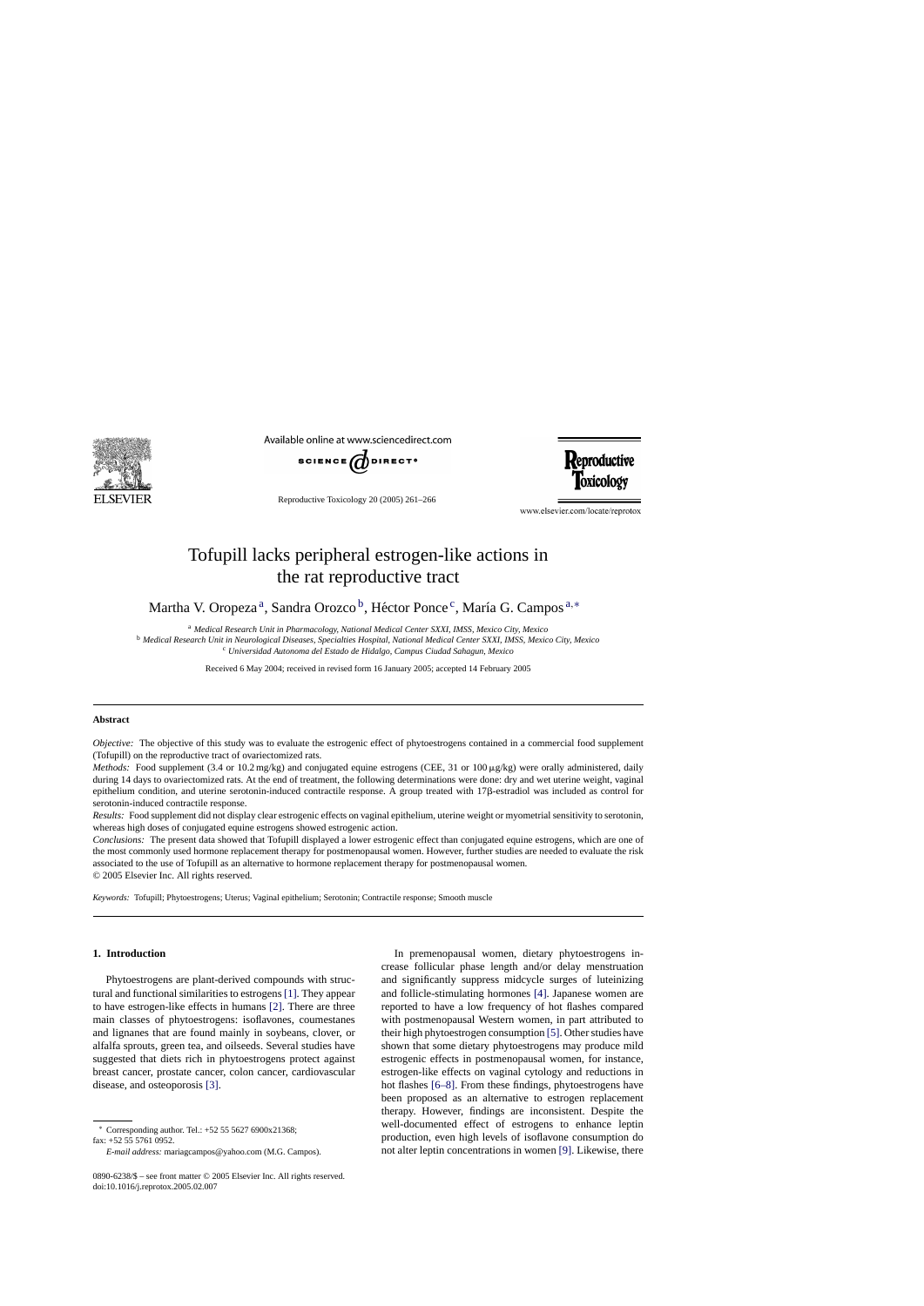

Available online at www.sciencedirect.com



Reproductive Toxicology 20 (2005) 261–266

www.elsevier.com/locate/reprotox

**Reproductive** 

Toxicology

# Tofupill lacks peripheral estrogen-like actions in the rat reproductive tract

Martha V. Oropeza<sup>a</sup>, Sandra Orozco<sup>b</sup>, Héctor Ponce<sup>c</sup>, María G. Campos <sup>a,\*</sup>

<sup>a</sup> *Medical Research Unit in Pharmacology, National Medical Center SXXI, IMSS, Mexico City, Mexico*

<sup>b</sup> *Medical Research Unit in Neurological Diseases, Specialties Hospital, National Medical Center SXXI, IMSS, Mexico City, Mexico* <sup>c</sup> *Universidad Autonoma del Estado de Hidalgo, Campus Ciudad Sahagun, Mexico*

Received 6 May 2004; received in revised form 16 January 2005; accepted 14 February 2005

#### **Abstract**

*Objective:* The objective of this study was to evaluate the estrogenic effect of phytoestrogens contained in a commercial food supplement (Tofupill) on the reproductive tract of ovariectomized rats.

*Methods:* Food supplement (3.4 or 10.2 mg/kg) and conjugated equine estrogens (CEE, 31 or 100  $\mu$ g/kg) were orally administered, daily during 14 days to ovariectomized rats. At the end of treatment, the following determinations were done: dry and wet uterine weight, vaginal epithelium condition, and uterine serotonin-induced contractile response. A group treated with 17 $\beta$ -estradiol was included as control for serotonin-induced contractile response.

*Results:* Food supplement did not display clear estrogenic effects on vaginal epithelium, uterine weight or myometrial sensitivity to serotonin, whereas high doses of conjugated equine estrogens showed estrogenic action.

*Conclusions:* The present data showed that Tofupill displayed a lower estrogenic effect than conjugated equine estrogens, which are one of the most commonly used hormone replacement therapy for postmenopausal women. However, further studies are needed to evaluate the risk associated to the use of Tofupill as an alternative to hormone replacement therapy for postmenopausal women. © 2005 Elsevier Inc. All rights reserved.

*Keywords:* Tofupill; Phytoestrogens; Uterus; Vaginal epithelium; Serotonin; Contractile response; Smooth muscle

## **1. Introduction**

Phytoestrogens are plant-derived compounds with structural and functional similarities to estrogens[\[1\]. T](#page-4-0)hey appear to have estrogen-like effects in humans [\[2\].](#page-4-0) There are three main classes of phytoestrogens: isoflavones, coumestanes and lignanes that are found mainly in soybeans, clover, or alfalfa sprouts, green tea, and oilseeds. Several studies have suggested that diets rich in phytoestrogens protect against breast cancer, prostate cancer, colon cancer, cardiovascular disease, and osteoporosis [\[3\].](#page-4-0)

In premenopausal women, dietary phytoestrogens increase follicular phase length and/or delay menstruation and significantly suppress midcycle surges of luteinizing and follicle-stimulating hormones [\[4\].](#page-4-0) Japanese women are reported to have a low frequency of hot flashes compared with postmenopausal Western women, in part attributed to their high phytoestrogen consumption [\[5\]. O](#page-4-0)ther studies have shown that some dietary phytoestrogens may produce mild estrogenic effects in postmenopausal women, for instance, estrogen-like effects on vaginal cytology and reductions in hot flashes [\[6–8\].](#page-4-0) From these findings, phytoestrogens have been proposed as an alternative to estrogen replacement therapy. However, findings are inconsistent. Despite the well-documented effect of estrogens to enhance leptin production, even high levels of isoflavone consumption do not alter leptin concentrations in women [\[9\]. L](#page-4-0)ikewise, there

<sup>∗</sup> Corresponding author. Tel.: +52 55 5627 6900x21368; fax: +52 55 5761 0952.

*E-mail address:* mariagcampos@yahoo.com (M.G. Campos).

<sup>0890-6238/\$ –</sup> see front matter © 2005 Elsevier Inc. All rights reserved. doi:10.1016/j.reprotox.2005.02.007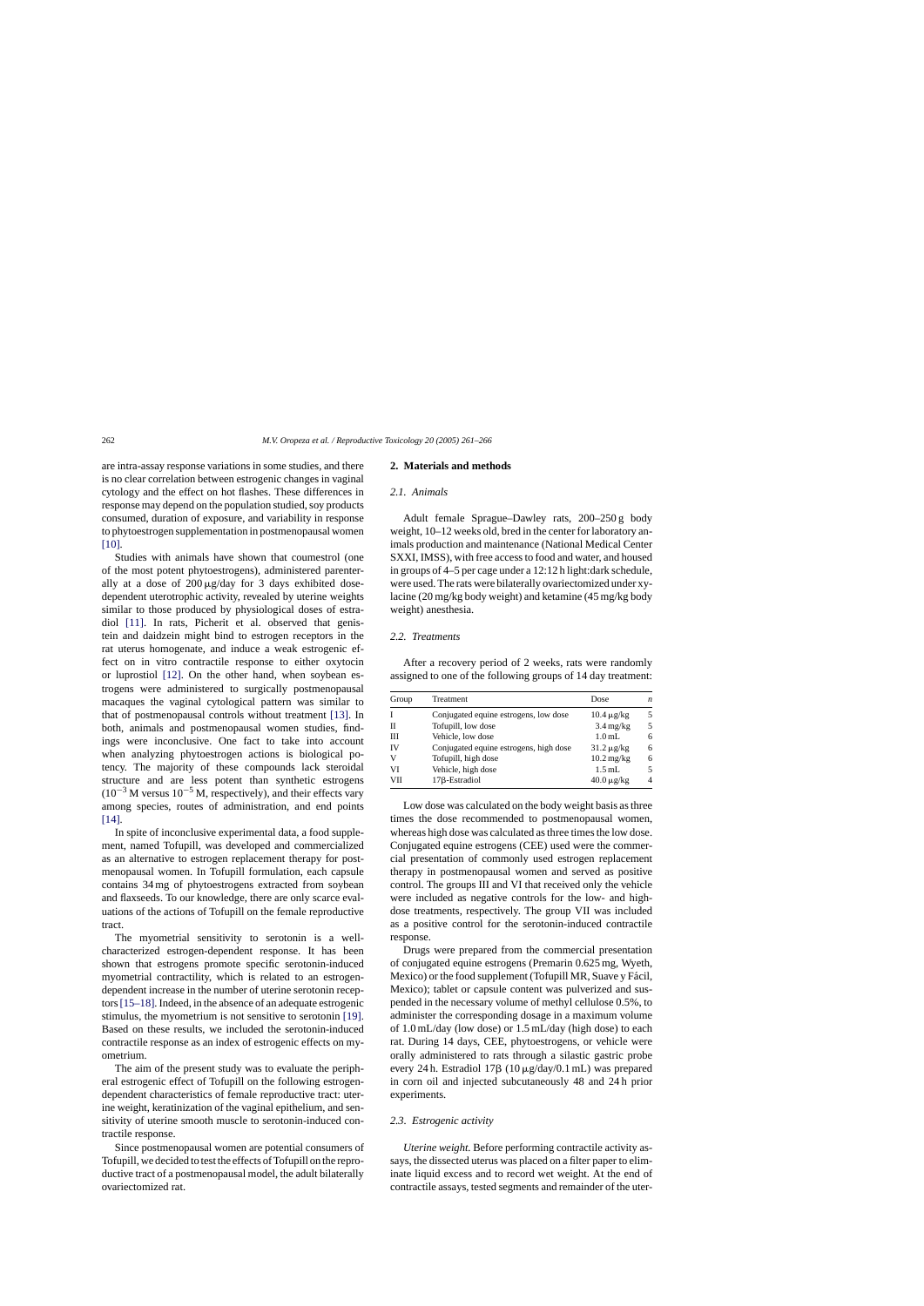are intra-assay response variations in some studies, and there is no clear correlation between estrogenic changes in vaginal cytology and the effect on hot flashes. These differences in response may depend on the population studied, soy products consumed, duration of exposure, and variability in response to phytoestrogen supplementation in postmenopausal women [\[10\].](#page-4-0)

Studies with animals have shown that coumestrol (one of the most potent phytoestrogens), administered parenterally at a dose of  $200 \mu g/day$  for 3 days exhibited dosedependent uterotrophic activity, revealed by uterine weights similar to those produced by physiological doses of estradiol [\[11\].](#page-4-0) In rats, Picherit et al. observed that genistein and daidzein might bind to estrogen receptors in the rat uterus homogenate, and induce a weak estrogenic effect on in vitro contractile response to either oxytocin or luprostiol [\[12\].](#page-4-0) On the other hand, when soybean estrogens were administered to surgically postmenopausal macaques the vaginal cytological pattern was similar to that of postmenopausal controls without treatment [\[13\].](#page-4-0) In both, animals and postmenopausal women studies, findings were inconclusive. One fact to take into account when analyzing phytoestrogen actions is biological potency. The majority of these compounds lack steroidal structure and are less potent than synthetic estrogens  $(10^{-3}$  M versus  $10^{-5}$  M, respectively), and their effects vary among species, routes of administration, and end points [\[14\].](#page-4-0)

In spite of inconclusive experimental data, a food supplement, named Tofupill, was developed and commercialized as an alternative to estrogen replacement therapy for postmenopausal women. In Tofupill formulation, each capsule contains 34 mg of phytoestrogens extracted from soybean and flaxseeds. To our knowledge, there are only scarce evaluations of the actions of Tofupill on the female reproductive tract.

The myometrial sensitivity to serotonin is a wellcharacterized estrogen-dependent response. It has been shown that estrogens promote specific serotonin-induced myometrial contractility, which is related to an estrogendependent increase in the number of uterine serotonin receptors[\[15–18\]. I](#page-4-0)ndeed, in the absence of an adequate estrogenic stimulus, the myometrium is not sensitive to serotonin [\[19\].](#page-4-0) Based on these results, we included the serotonin-induced contractile response as an index of estrogenic effects on myometrium.

The aim of the present study was to evaluate the peripheral estrogenic effect of Tofupill on the following estrogendependent characteristics of female reproductive tract: uterine weight, keratinization of the vaginal epithelium, and sensitivity of uterine smooth muscle to serotonin-induced contractile response.

Since postmenopausal women are potential consumers of Tofupill, we decided to test the effects of Tofupill on the reproductive tract of a postmenopausal model, the adult bilaterally ovariectomized rat.

## **2. Materials and methods**

## *2.1. Animals*

Adult female Sprague–Dawley rats, 200–250 g body weight, 10–12 weeks old, bred in the center for laboratory animals production and maintenance (National Medical Center SXXI, IMSS), with free access to food and water, and housed in groups of 4–5 per cage under a 12:12 h light:dark schedule, were used. The rats were bilaterally ovariectomized under xylacine (20 mg/kg body weight) and ketamine (45 mg/kg body weight) anesthesia.

#### *2.2. Treatments*

After a recovery period of 2 weeks, rats were randomly assigned to one of the following groups of 14 day treatment:

| Group | Treatment                              | Dose                         | n              |
|-------|----------------------------------------|------------------------------|----------------|
| I     | Conjugated equine estrogens, low dose  | $10.4 \mu$ g/kg              | .5             |
| Н     | Tofupill, low dose                     | $3.4 \text{ mg/kg}$          | 5              |
| Ш     | Vehicle, low dose                      | 1.0 <sub>mL</sub>            | 6              |
| IV    | Conjugated equine estrogens, high dose | $31.2 \mu g/kg$              | 6              |
| V     | Tofupill, high dose                    | $10.2 \,\mathrm{mg/kg}$      | 6              |
| VI    | Vehicle, high dose                     | $1.5$ mL                     | 5              |
| VII   | 17 <sub>B</sub> -Estradiol             | $40.0 \,\mathrm{\upmu g/kg}$ | $\overline{4}$ |

Low dose was calculated on the body weight basis as three times the dose recommended to postmenopausal women, whereas high dose was calculated as three times the low dose. Conjugated equine estrogens (CEE) used were the commercial presentation of commonly used estrogen replacement therapy in postmenopausal women and served as positive control. The groups III and VI that received only the vehicle were included as negative controls for the low- and highdose treatments, respectively. The group VII was included as a positive control for the serotonin-induced contractile response.

Drugs were prepared from the commercial presentation of conjugated equine estrogens (Premarin 0.625 mg, Wyeth, Mexico) or the food supplement (Tofupill MR, Suave y Fácil, Mexico); tablet or capsule content was pulverized and suspended in the necessary volume of methyl cellulose 0.5%, to administer the corresponding dosage in a maximum volume of 1.0 mL/day (low dose) or 1.5 mL/day (high dose) to each rat. During 14 days, CEE, phytoestrogens, or vehicle were orally administered to rats through a silastic gastric probe every 24 h. Estradiol  $17\beta$  ( $10 \mu g/day/0.1 \text{ mL}$ ) was prepared in corn oil and injected subcutaneously 48 and 24 h prior experiments.

#### *2.3. Estrogenic activity*

*Uterine weight.* Before performing contractile activity assays, the dissected uterus was placed on a filter paper to eliminate liquid excess and to record wet weight. At the end of contractile assays, tested segments and remainder of the uter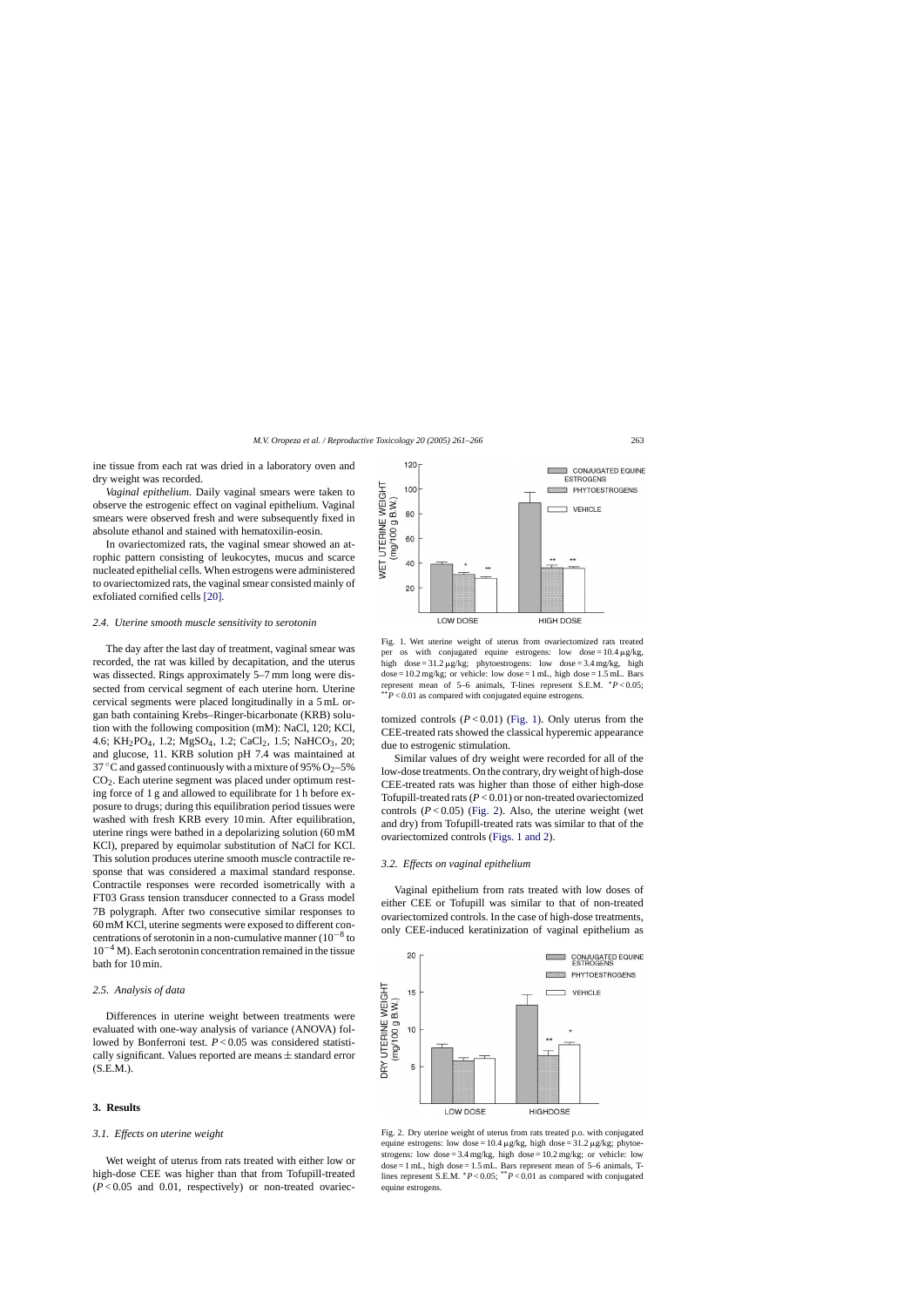ine tissue from each rat was dried in a laboratory oven and dry weight was recorded.

*Vaginal epithelium.* Daily vaginal smears were taken to observe the estrogenic effect on vaginal epithelium. Vaginal smears were observed fresh and were subsequently fixed in absolute ethanol and stained with hematoxilin-eosin.

In ovariectomized rats, the vaginal smear showed an atrophic pattern consisting of leukocytes, mucus and scarce nucleated epithelial cells. When estrogens were administered to ovariectomized rats, the vaginal smear consisted mainly of exfoliated cornified cells [\[20\].](#page-5-0)

#### *2.4. Uterine smooth muscle sensitivity to serotonin*

The day after the last day of treatment, vaginal smear was recorded, the rat was killed by decapitation, and the uterus was dissected. Rings approximately 5–7 mm long were dissected from cervical segment of each uterine horn. Uterine cervical segments were placed longitudinally in a 5 mL organ bath containing Krebs–Ringer-bicarbonate (KRB) solution with the following composition (mM): NaCl, 120; KCl, 4.6; KH<sub>2</sub>PO<sub>4</sub>, 1.2; MgSO<sub>4</sub>, 1.2; CaCl<sub>2</sub>, 1.5; NaHCO<sub>3</sub>, 20; and glucose, 11. KRB solution pH 7.4 was maintained at 37 °C and gassed continuously with a mixture of 95%  $O<sub>2</sub>$ –5%  $CO<sub>2</sub>$ . Each uterine segment was placed under optimum resting force of 1 g and allowed to equilibrate for 1 h before exposure to drugs; during this equilibration period tissues were washed with fresh KRB every 10 min. After equilibration, uterine rings were bathed in a depolarizing solution (60 mM KCl), prepared by equimolar substitution of NaCl for KCl. This solution produces uterine smooth muscle contractile response that was considered a maximal standard response. Contractile responses were recorded isometrically with a FT03 Grass tension transducer connected to a Grass model 7B polygraph. After two consecutive similar responses to 60 mM KCl, uterine segments were exposed to different concentrations of serotonin in a non-cumulative manner  $(10^{-8}$  to  $10^{-4}$  M). Each serotonin concentration remained in the tissue bath for 10 min.

## *2.5. Analysis of data*

Differences in uterine weight between treatments were evaluated with one-way analysis of variance (ANOVA) followed by Bonferroni test. *P* < 0.05 was considered statistically significant. Values reported are means  $\pm$  standard error (S.E.M.).

## **3. Results**

### *3.1. Effects on uterine weight*

Wet weight of uterus from rats treated with either low or high-dose CEE was higher than that from Tofupill-treated  $(P<0.05$  and 0.01, respectively) or non-treated ovariec-

Fig. 1. Wet uterine weight of uterus from ovariectomized rats treated per os with conjugated equine estrogens: low dose =  $10.4 \,\mu\text{g/kg}$ , high  $dose = 31.2 \mu g/kg$ ; phytoestrogens: low  $dose = 3.4 \text{ mg/kg}$ , high  $dose = 10.2$  mg/kg; or vehicle: low  $dose = 1$  mL, high  $dose = 1.5$  mL. Bars represent mean of 5–6 animals, T-lines represent S.E.M. ∗*P* < 0.05; \*\**P* < 0.01 as compared with conjugated equine estrogens.

tomized controls  $(P<0.01)$  (Fig. 1). Only uterus from the CEE-treated rats showed the classical hyperemic appearance due to estrogenic stimulation.

Similar values of dry weight were recorded for all of the low-dose treatments. On the contrary, dry weight of high-dose CEE-treated rats was higher than those of either high-dose Tofupill-treated rats (*P* < 0.01) or non-treated ovariectomized controls  $(P<0.05)$  (Fig. 2). Also, the uterine weight (wet and dry) from Tofupill-treated rats was similar to that of the ovariectomized controls (Figs. 1 and 2).

#### *3.2. Effects on vaginal epithelium*

Vaginal epithelium from rats treated with low doses of either CEE or Tofupill was similar to that of non-treated ovariectomized controls. In the case of high-dose treatments, only CEE-induced keratinization of vaginal epithelium as



Fig. 2. Dry uterine weight of uterus from rats treated p.o. with conjugated equine estrogens: low dose =  $10.4 \mu$ g/kg, high dose =  $31.2 \mu$ g/kg; phytoestrogens: low dose =  $3.4 \text{ mg/kg}$ , high dose =  $10.2 \text{ mg/kg}$ ; or vehicle: low  $dose = 1$  mL, high  $dose = 1.5$  mL. Bars represent mean of 5–6 animals, Tlines represent S.E.M. <sup>∗</sup>*P* < 0.05; \*\**P* < 0.01 as compared with conjugated equine estrogens.

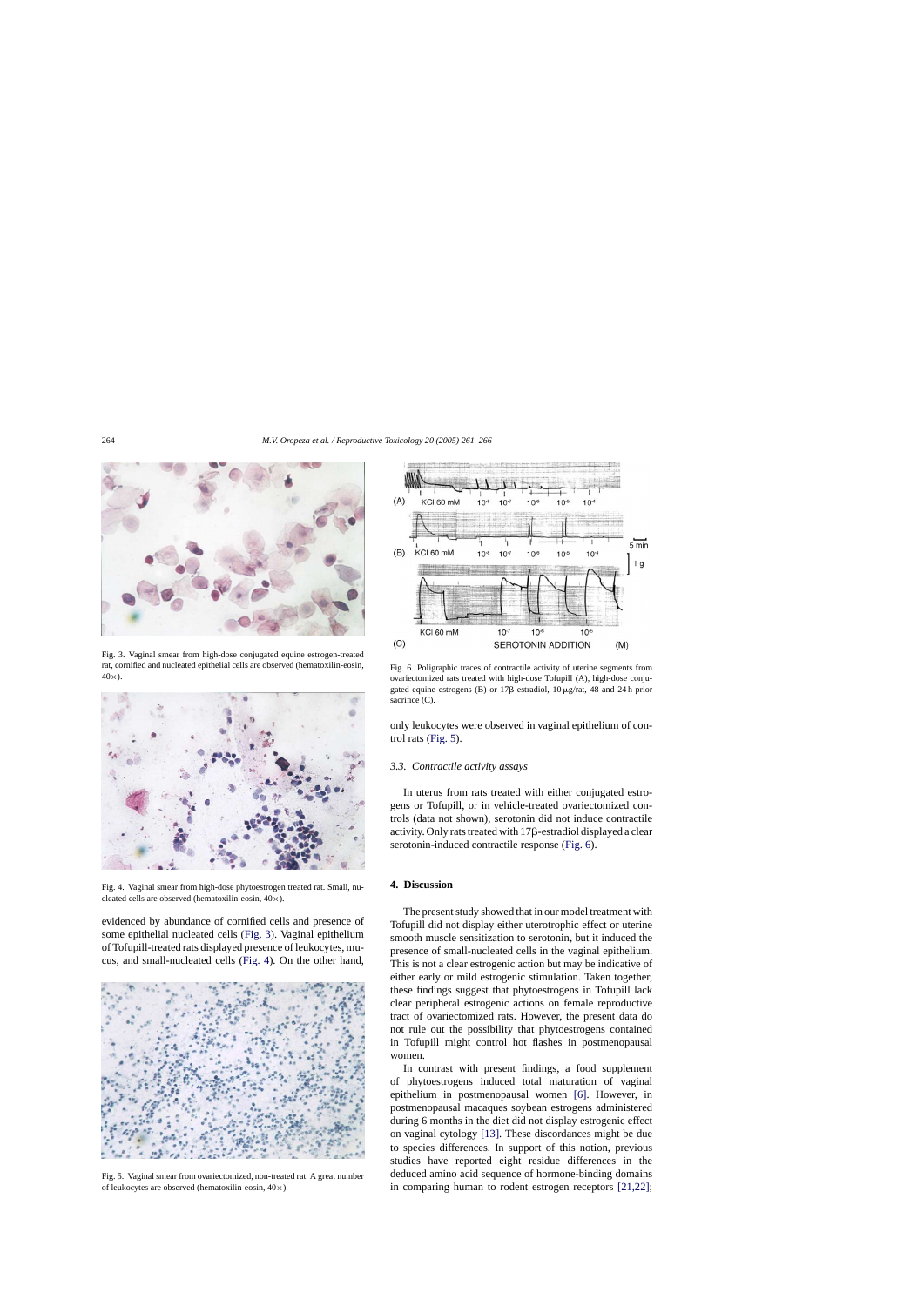

Fig. 3. Vaginal smear from high-dose conjugated equine estrogen-treated rat, cornified and nucleated epithelial cells are observed (hematoxilin-eosin,  $40\times$ ).



Fig. 4. Vaginal smear from high-dose phytoestrogen treated rat. Small, nucleated cells are observed (hematoxilin-eosin, 40×).

evidenced by abundance of cornified cells and presence of some epithelial nucleated cells (Fig. 3). Vaginal epithelium of Tofupill-treated rats displayed presence of leukocytes, mucus, and small-nucleated cells (Fig. 4). On the other hand,



Fig. 5. Vaginal smear from ovariectomized, non-treated rat. A great number of leukocytes are observed (hematoxilin-eosin,  $40\times$ ).



Fig. 6. Poligraphic traces of contractile activity of uterine segments from ovariectomized rats treated with high-dose Tofupill (A), high-dose conjugated equine estrogens (B) or  $17\beta$ -estradiol,  $10 \mu g/r$ at, 48 and 24h prior sacrifice (C).

only leukocytes were observed in vaginal epithelium of control rats (Fig. 5).

#### *3.3. Contractile activity assays*

In uterus from rats treated with either conjugated estrogens or Tofupill, or in vehicle-treated ovariectomized controls (data not shown), serotonin did not induce contractile activity. Only rats treated with  $17\beta$ -estradiol displayed a clear serotonin-induced contractile response (Fig. 6).

# **4. Discussion**

The present study showed that in our model treatment with Tofupill did not display either uterotrophic effect or uterine smooth muscle sensitization to serotonin, but it induced the presence of small-nucleated cells in the vaginal epithelium. This is not a clear estrogenic action but may be indicative of either early or mild estrogenic stimulation. Taken together, these findings suggest that phytoestrogens in Tofupill lack clear peripheral estrogenic actions on female reproductive tract of ovariectomized rats. However, the present data do not rule out the possibility that phytoestrogens contained in Tofupill might control hot flashes in postmenopausal women.

In contrast with present findings, a food supplement of phytoestrogens induced total maturation of vaginal epithelium in postmenopausal women [\[6\].](#page-4-0) However, in postmenopausal macaques soybean estrogens administered during 6 months in the diet did not display estrogenic effect on vaginal cytology [\[13\].](#page-4-0) These discordances might be due to species differences. In support of this notion, previous studies have reported eight residue differences in the deduced amino acid sequence of hormone-binding domains in comparing human to rodent estrogen receptors [\[21,22\];](#page-5-0)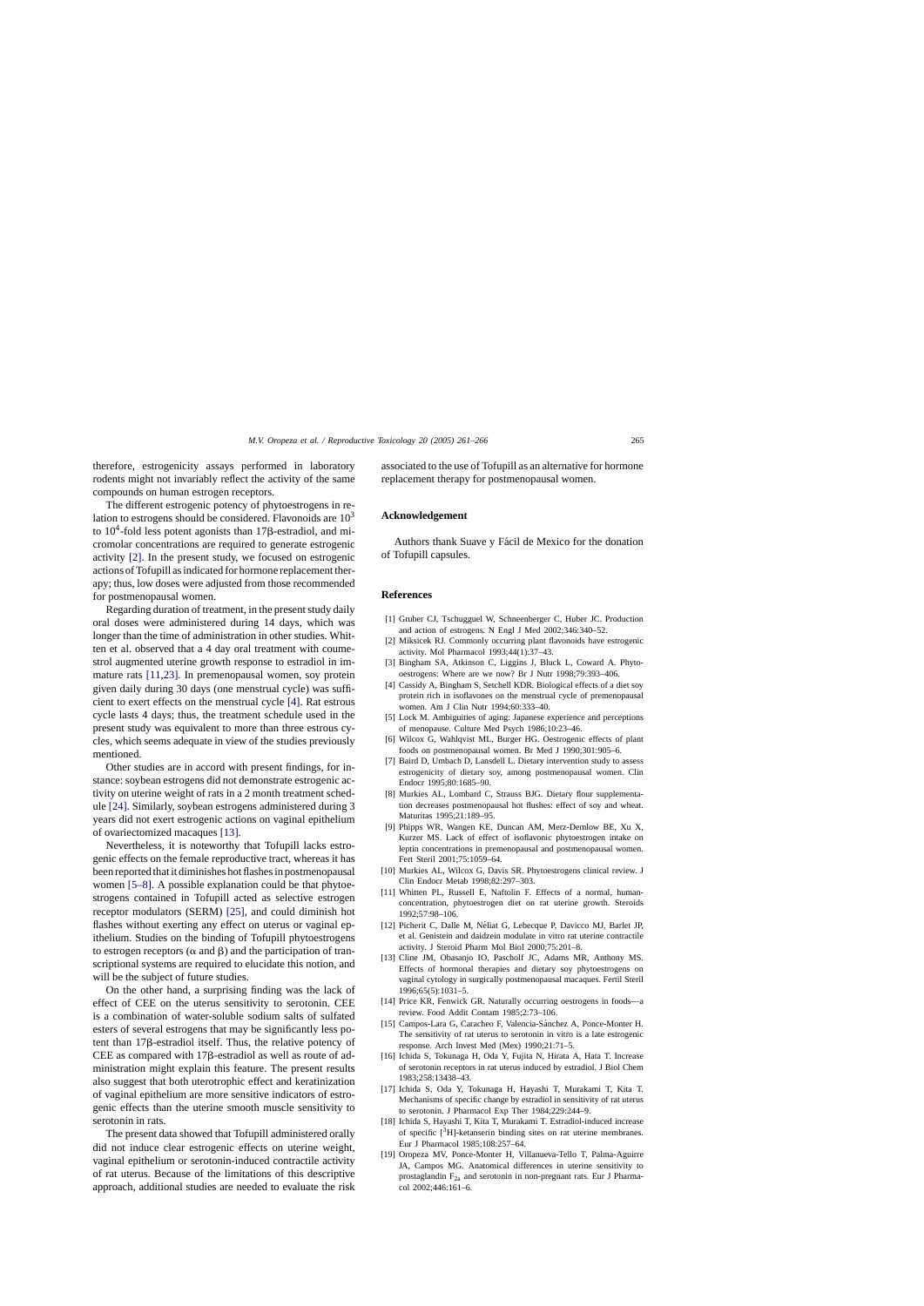<span id="page-4-0"></span>therefore, estrogenicity assays performed in laboratory rodents might not invariably reflect the activity of the same compounds on human estrogen receptors.

The different estrogenic potency of phytoestrogens in relation to estrogens should be considered. Flavonoids are  $10<sup>3</sup>$ to  $10^4$ -fold less potent agonists than  $17\beta$ -estradiol, and micromolar concentrations are required to generate estrogenic activity [2]. In the present study, we focused on estrogenic actions of Tofupill as indicated for hormone replacement therapy; thus, low doses were adjusted from those recommended for postmenopausal women.

Regarding duration of treatment, in the present study daily oral doses were administered during 14 days, which was longer than the time of administration in other studies. Whitten et al. observed that a 4 day oral treatment with coumestrol augmented uterine growth response to estradiol in immature rats [11,23]. In premenopausal women, soy protein given daily during 30 days (one menstrual cycle) was sufficient to exert effects on the menstrual cycle [4]. Rat estrous cycle lasts 4 days; thus, the treatment schedule used in the present study was equivalent to more than three estrous cycles, which seems adequate in view of the studies previously mentioned.

Other studies are in accord with present findings, for instance: soybean estrogens did not demonstrate estrogenic activity on uterine weight of rats in a 2 month treatment schedule [\[24\]. S](#page-5-0)imilarly, soybean estrogens administered during 3 years did not exert estrogenic actions on vaginal epithelium of ovariectomized macaques [13].

Nevertheless, it is noteworthy that Tofupill lacks estrogenic effects on the female reproductive tract, whereas it has been reported that it diminishes hot flashes in postmenopausal women [5–8]. A possible explanation could be that phytoestrogens contained in Tofupill acted as selective estrogen receptor modulators (SERM) [\[25\],](#page-5-0) and could diminish hot flashes without exerting any effect on uterus or vaginal epithelium. Studies on the binding of Tofupill phytoestrogens to estrogen receptors ( $\alpha$  and  $\beta$ ) and the participation of transcriptional systems are required to elucidate this notion, and will be the subject of future studies.

On the other hand, a surprising finding was the lack of effect of CEE on the uterus sensitivity to serotonin. CEE is a combination of water-soluble sodium salts of sulfated esters of several estrogens that may be significantly less potent than  $17\beta$ -estradiol itself. Thus, the relative potency of CEE as compared with  $17\beta$ -estradiol as well as route of administration might explain this feature. The present results also suggest that both uterotrophic effect and keratinization of vaginal epithelium are more sensitive indicators of estrogenic effects than the uterine smooth muscle sensitivity to serotonin in rats.

The present data showed that Tofupill administered orally did not induce clear estrogenic effects on uterine weight, vaginal epithelium or serotonin-induced contractile activity of rat uterus. Because of the limitations of this descriptive approach, additional studies are needed to evaluate the risk

associated to the use of Tofupill as an alternative for hormone replacement therapy for postmenopausal women.

## **Acknowledgement**

Authors thank Suave y Fácil de Mexico for the donation of Tofupill capsules.

## **References**

- [1] Gruber CJ, Tschugguel W, Schneenberger C, Huber JC. Production and action of estrogens. N Engl J Med 2002;346:340–52.
- [2] Miksicek RJ. Commonly occurring plant flavonoids have estrogenic activity. Mol Pharmacol 1993;44(1):37–43.
- [3] Bingham SA, Atkinson C, Liggins J, Bluck L, Coward A. Phytooestrogens: Where are we now? Br J Nutr 1998;79:393–406.
- [4] Cassidy A, Bingham S, Setchell KDR. Biological effects of a diet soy protein rich in isoflavones on the menstrual cycle of premenopausal women. Am J Clin Nutr 1994;60:333–40.
- [5] Lock M. Ambiguities of aging: Japanese experience and perceptions of menopause. Culture Med Psych 1986;10:23–46.
- [6] Wilcox G, Wahlqvist ML, Burger HG. Oestrogenic effects of plant foods on postmenopausal women. Br Med J 1990;301:905–6.
- [7] Baird D, Umbach D, Lansdell L. Dietary intervention study to assess estrogenicity of dietary soy, among postmenopausal women. Clin Endocr 1995;80:1685–90.
- [8] Murkies AL, Lombard C, Strauss BJG. Dietary flour supplementation decreases postmenopausal hot flushes: effect of soy and wheat. Maturitas 1995;21:189–95.
- [9] Phipps WR, Wangen KE, Duncan AM, Merz-Demlow BE, Xu X, Kurzer MS. Lack of effect of isoflavonic phytoestrogen intake on leptin concentrations in premenopausal and postmenopausal women. Fert Steril 2001;75:1059–64.
- [10] Murkies AL, Wilcox G, Davis SR. Phytoestrogens clinical review. J Clin Endocr Metab 1998;82:297–303.
- [11] Whitten PL, Russell E, Naftolin F. Effects of a normal, humanconcentration, phytoestrogen diet on rat uterine growth. Steroids 1992;57:98–106.
- [12] Picherit C, Dalle M, Néliat G, Lebecque P, Davicco MJ, Barlet JP, et al. Genistein and daidzein modulate in vitro rat uterine contractile activity. J Steroid Pharm Mol Biol 2000;75:201–8.
- [13] Cline JM, Obasanjo IO, Pascholf JC, Adams MR, Anthony MS. Effects of hormonal therapies and dietary soy phytoestrogens on vaginal cytology in surgically postmenopausal macaques. Fertil Steril 1996;65(5):1031–5.
- [14] Price KR, Fenwick GR. Naturally occurring oestrogens in foods—a review. Food Addit Contam 1985;2:73–106.
- [15] Campos-Lara G, Caracheo F, Valencia-Sánchez A, Ponce-Monter H. The sensitivity of rat uterus to serotonin in vitro is a late estrogenic response. Arch Invest Med (Mex) 1990;21:71–5.
- [16] Ichida S, Tokunaga H, Oda Y, Fujita N, Hirata A, Hata T. Increase of serotonin receptors in rat uterus induced by estradiol. J Biol Chem 1983;258:13438–43.
- [17] Ichida S, Oda Y, Tokunaga H, Hayashi T, Murakami T, Kita T. Mechanisms of specific change by estradiol in sensitivity of rat uterus to serotonin. J Pharmacol Exp Ther 1984;229:244–9.
- [18] Ichida S, Hayashi T, Kita T, Murakami T. Estradiol-induced increase of specific  $[^{3}H]$ -ketanserin binding sites on rat uterine membranes. Eur J Pharmacol 1985;108:257–64.
- [19] Oropeza MV, Ponce-Monter H, Villanueva-Tello T, Palma-Aguirre JA, Campos MG. Anatomical differences in uterine sensitivity to prostaglandin F2a and serotonin in non-pregnant rats. Eur J Pharmacol 2002;446:161–6.